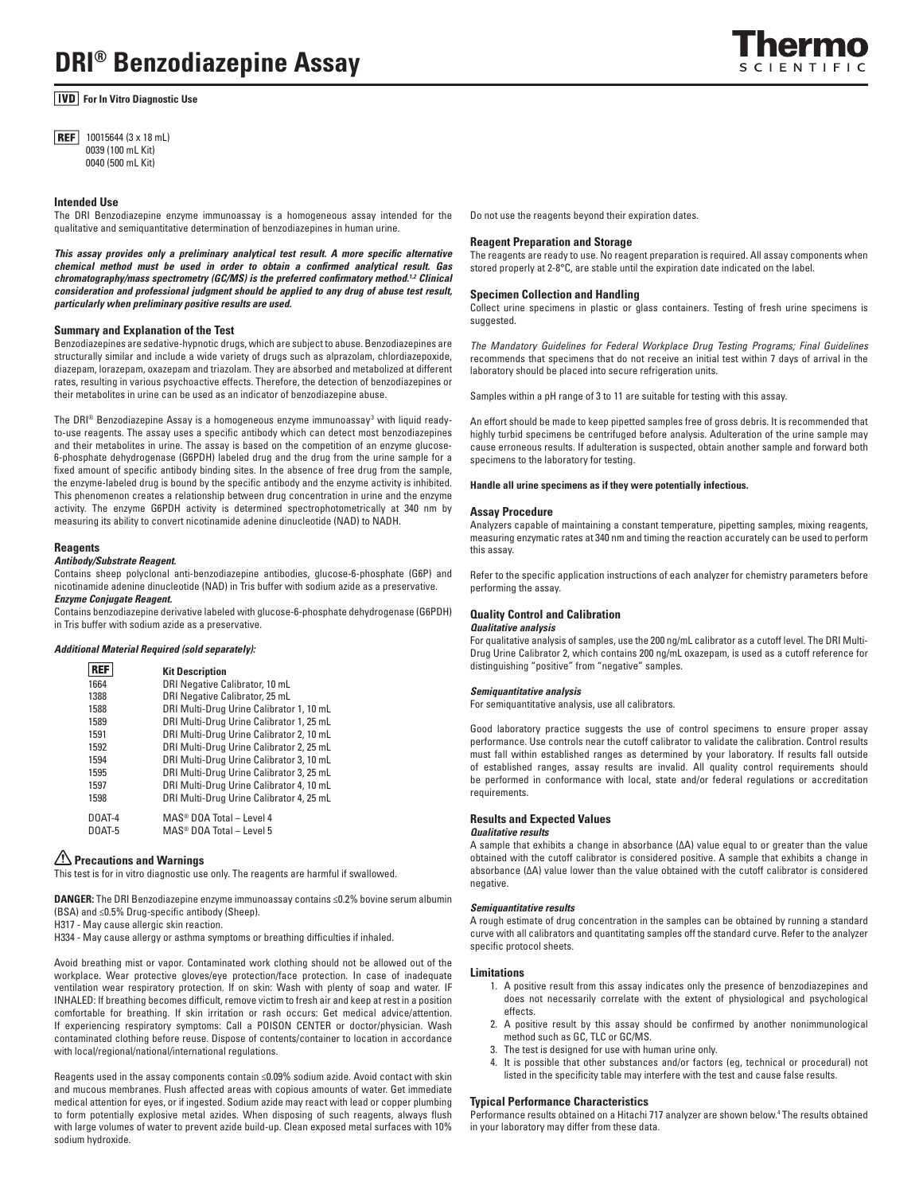*<u>IVD</u>* For In Vitro Diagnostic Use

**REF** 10015644 (3 x 18 mL) 0039 (100 mL Kit) 0040 (500 mL Kit)

### **Intended Use**

The DRI Benzodiazepine enzyme immunoassay is a homogeneous assay intended for the qualitative and semiquantitative determination of benzodiazepines in human urine.

*This assay provides only a preliminary analytical test result. A more specific alternative chemical method must be used in order to obtain a confirmed analytical result. Gas chromatography/mass spectrometry (GC/MS) is the preferred confirmatory method.<sup>1,2</sup> Clinical consideration and professional judgment should be applied to any drug of abuse test result, particularly when preliminary positive results are used.*

### **Summary and Explanation of the Test**

Benzodiazepines are sedative-hypnotic drugs, which are subject to abuse. Benzodiazepines are structurally similar and include a wide variety of drugs such as alprazolam, chlordiazepoxide, diazepam, lorazepam, oxazepam and triazolam. They are absorbed and metabolized at different rates, resulting in various psychoactive effects. Therefore, the detection of benzodiazepines or their metabolites in urine can be used as an indicator of benzodiazepine abuse.

The DRI® Benzodiazepine Assay is a homogeneous enzyme immunoassay $^3$  with liquid readyto-use reagents. The assay uses a specific antibody which can detect most benzodiazepines and their metabolites in urine. The assay is based on the competition of an enzyme glucose-6-phosphate dehydrogenase (G6PDH) labeled drug and the drug from the urine sample for a fixed amount of specific antibody binding sites. In the absence of free drug from the sample, the enzyme-labeled drug is bound by the specific antibody and the enzyme activity is inhibited. This phenomenon creates a relationship between drug concentration in urine and the enzyme activity. The enzyme G6PDH activity is determined spectrophotometrically at 340 nm by measuring its ability to convert nicotinamide adenine dinucleotide (NAD) to NADH.

### **Reagents**

#### *Antibody/Substrate Reagent.*

Contains sheep polyclonal anti-benzodiazepine antibodies, glucose-6-phosphate (G6P) and nicotinamide adenine dinucleotide (NAD) in Tris buffer with sodium azide as a preservative. *Enzyme Conjugate Reagent.* 

Contains benzodiazepine derivative labeled with glucose-6-phosphate dehydrogenase (G6PDH) in Tris buffer with sodium azide as a preservative.

#### *Additional Material Required (sold separately):*

| REF                     | <b>Kit Description</b>                                                       |
|-------------------------|------------------------------------------------------------------------------|
| 1664                    | DRI Negative Calibrator, 10 mL                                               |
| 1388                    | DRI Negative Calibrator, 25 mL                                               |
| 1588                    | DRI Multi-Drug Urine Calibrator 1, 10 mL                                     |
| 1589                    | DRI Multi-Drug Urine Calibrator 1, 25 mL                                     |
| 1591                    | DRI Multi-Drug Urine Calibrator 2, 10 mL                                     |
| 1592                    | DRI Multi-Drug Urine Calibrator 2, 25 mL                                     |
| 1594                    | DRI Multi-Drug Urine Calibrator 3, 10 mL                                     |
| 1595                    | DRI Multi-Drug Urine Calibrator 3, 25 mL                                     |
| 1597                    | DRI Multi-Drug Urine Calibrator 4, 10 mL                                     |
| 1598                    | DRI Multi-Drug Urine Calibrator 4, 25 mL                                     |
| DOAT-4<br><b>DOAT-5</b> | MAS <sup>®</sup> DOA Total - Level 4<br>MAS <sup>®</sup> DOA Total - Level 5 |

# **Precautions and Warnings**

This test is for in vitro diagnostic use only. The reagents are harmful if swallowed.

**DANGER:** The DRI Benzodiazepine enzyme immunoassay contains ≤0.2% bovine serum albumin (BSA) and ≤0.5% Drug-specific antibody (Sheep).

H317 - May cause allergic skin reaction.

H334 - May cause allergy or asthma symptoms or breathing difficulties if inhaled.

Avoid breathing mist or vapor. Contaminated work clothing should not be allowed out of the workplace. Wear protective gloves/eye protection/face protection. In case of inadequate ventilation wear respiratory protection. If on skin: Wash with plenty of soap and water. IF INHALED: If breathing becomes difficult, remove victim to fresh air and keep at rest in a position comfortable for breathing. If skin irritation or rash occurs: Get medical advice/attention. If experiencing respiratory symptoms: Call a POISON CENTER or doctor/physician. Wash contaminated clothing before reuse. Dispose of contents/container to location in accordance with local/regional/national/international regulations.

Reagents used in the assay components contain ≤0.09% sodium azide. Avoid contact with skin and mucous membranes. Flush affected areas with copious amounts of water. Get immediate medical attention for eyes, or if ingested. Sodium azide may react with lead or copper plumbing to form potentially explosive metal azides. When disposing of such reagents, always flush with large volumes of water to prevent azide build-up. Clean exposed metal surfaces with 10% sodium hydroxide.

Do not use the reagents beyond their expiration dates.

## **Reagent Preparation and Storage**

The reagents are ready to use. No reagent preparation is required. All assay components when stored properly at 2-8°C, are stable until the expiration date indicated on the label.

#### **Specimen Collection and Handling**

Collect urine specimens in plastic or glass containers. Testing of fresh urine specimens is suggested.

*The Mandatory Guidelines for Federal Workplace Drug Testing Programs; Final Guidelines*  recommends that specimens that do not receive an initial test within 7 days of arrival in the laboratory should be placed into secure refrigeration units.

Samples within a pH range of 3 to 11 are suitable for testing with this assay.

An effort should be made to keep pipetted samples free of gross debris. It is recommended that highly turbid specimens be centrifuged before analysis. Adulteration of the urine sample may cause erroneous results. If adulteration is suspected, obtain another sample and forward both specimens to the laboratory for testing.

**Handle all urine specimens as if they were potentially infectious.**

#### **Assay Procedure**

Analyzers capable of maintaining a constant temperature, pipetting samples, mixing reagents, measuring enzymatic rates at 340 nm and timing the reaction accurately can be used to perform this assay.

Refer to the specific application instructions of each analyzer for chemistry parameters before performing the assay.

#### **Quality Control and Calibration**

### *Qualitative analysis*

For qualitative analysis of samples, use the 200 ng/mL calibrator as a cutoff level. The DRI Multi-Drug Urine Calibrator 2, which contains 200 ng/mL oxazepam, is used as a cutoff reference for distinguishing "positive" from "negative" samples.

#### *Semiquantitative analysis*

For semiquantitative analysis, use all calibrators.

Good laboratory practice suggests the use of control specimens to ensure proper assay performance. Use controls near the cutoff calibrator to validate the calibration. Control results must fall within established ranges as determined by your laboratory. If results fall outside of established ranges, assay results are invalid. All quality control requirements should be performed in conformance with local, state and/or federal regulations or accreditation requirements.

## **Results and Expected Values**

## *Qualitative results*

A sample that exhibits a change in absorbance (∆A) value equal to or greater than the value obtained with the cutoff calibrator is considered positive. A sample that exhibits a change in absorbance (∆A) value lower than the value obtained with the cutoff calibrator is considered negative.

#### *Semiquantitative results*

A rough estimate of drug concentration in the samples can be obtained by running a standard curve with all calibrators and quantitating samples off the standard curve. Refer to the analyzer specific protocol sheets.

#### **Limitations**

- 1. A positive result from this assay indicates only the presence of benzodiazepines and does not necessarily correlate with the extent of physiological and psychological effects.
- 2. A positive result by this assay should be confirmed by another nonimmunological method such as GC, TLC or GC/MS.
- 3. The test is designed for use with human urine only.
- 4. It is possible that other substances and/or factors (eg, technical or procedural) not listed in the specificity table may interfere with the test and cause false results.

## **Typical Performance Characteristics**

Performance results obtained on a Hitachi 717 analyzer are shown below.4 The results obtained in your laboratory may differ from these data.